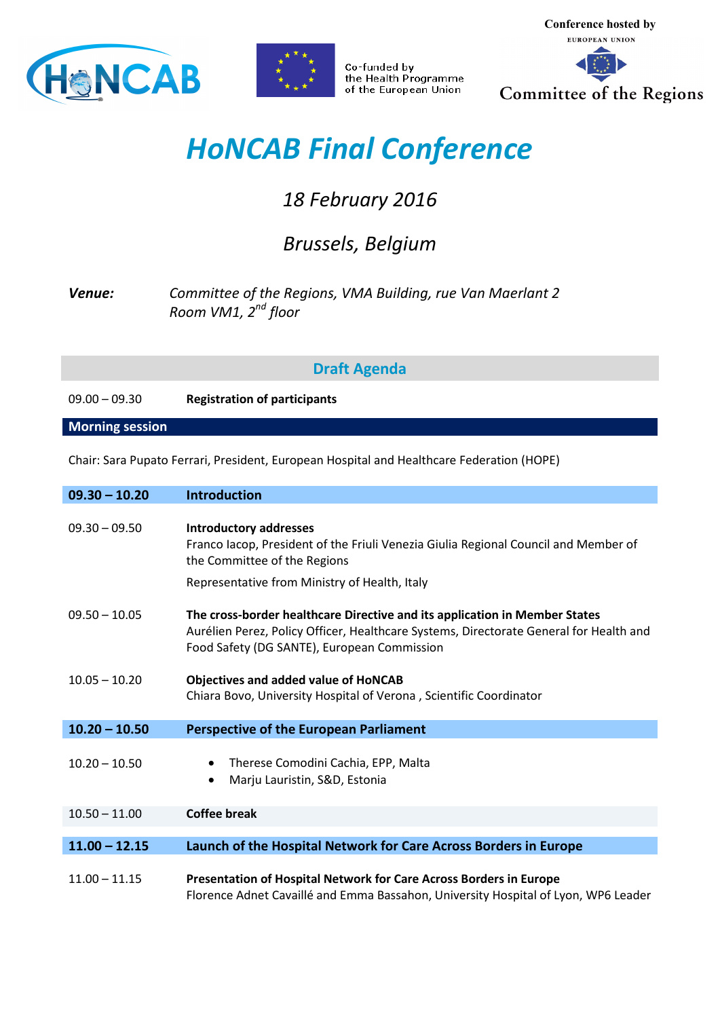



Co-funded by the Health Programme of the European Union

**Conference hosted by**  EUROPEAN UNION Committee of the Regions

## *HoNCAB Final Conference*

## *18 February 2016*

## *Brussels, Belgium*

## *Venue: Committee of the Regions, VMA Building, rue Van Maerlant 2 Room VM1, 2nd floor*

**Draft Agenda** 

09.00 – 09.30 **Registration of participants**

**Morning session** 

Chair: Sara Pupato Ferrari, President, European Hospital and Healthcare Federation (HOPE)

| $09.30 - 10.20$ | <b>Introduction</b>                                                                                                                                                                                                 |
|-----------------|---------------------------------------------------------------------------------------------------------------------------------------------------------------------------------------------------------------------|
| $09.30 - 09.50$ | <b>Introductory addresses</b><br>Franco Iacop, President of the Friuli Venezia Giulia Regional Council and Member of<br>the Committee of the Regions<br>Representative from Ministry of Health, Italy               |
| $09.50 - 10.05$ | The cross-border healthcare Directive and its application in Member States<br>Aurélien Perez, Policy Officer, Healthcare Systems, Directorate General for Health and<br>Food Safety (DG SANTE), European Commission |
| $10.05 - 10.20$ | <b>Objectives and added value of HoNCAB</b><br>Chiara Bovo, University Hospital of Verona, Scientific Coordinator                                                                                                   |
| $10.20 - 10.50$ | <b>Perspective of the European Parliament</b>                                                                                                                                                                       |
| $10.20 - 10.50$ | Therese Comodini Cachia, EPP, Malta<br>$\bullet$<br>Marju Lauristin, S&D, Estonia<br>$\bullet$                                                                                                                      |
| $10.50 - 11.00$ | <b>Coffee break</b>                                                                                                                                                                                                 |
| $11.00 - 12.15$ | Launch of the Hospital Network for Care Across Borders in Europe                                                                                                                                                    |
| $11.00 - 11.15$ | Presentation of Hospital Network for Care Across Borders in Europe<br>Florence Adnet Cavaillé and Emma Bassahon, University Hospital of Lyon, WP6 Leader                                                            |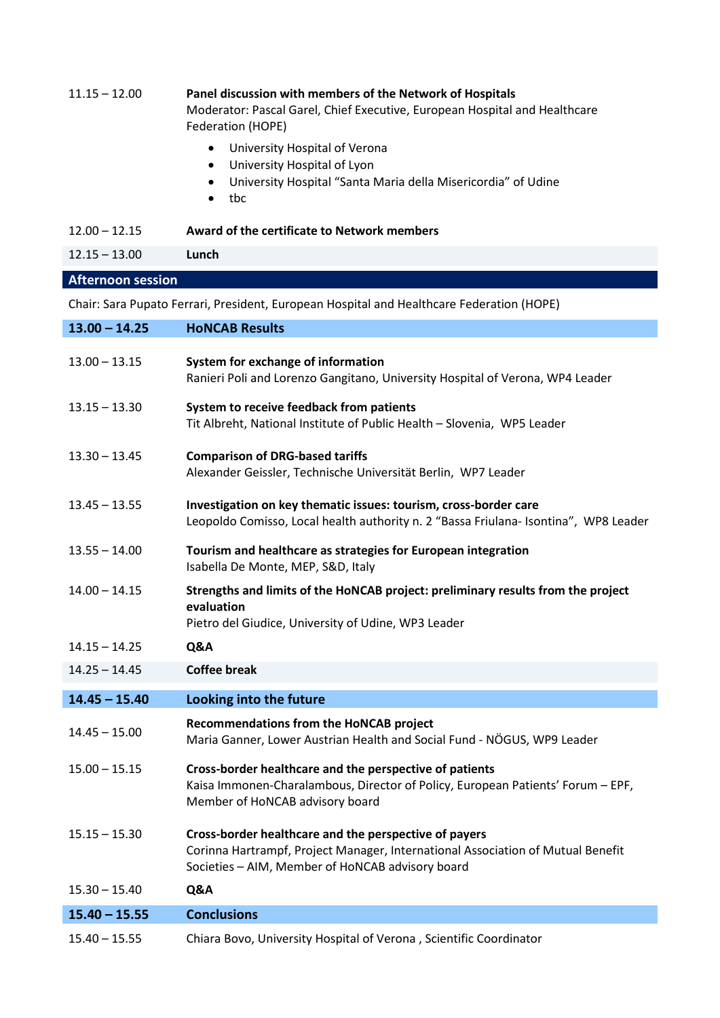| $11.15 - 12.00$          | Panel discussion with members of the Network of Hospitals<br>Moderator: Pascal Garel, Chief Executive, European Hospital and Healthcare<br>Federation (HOPE) |
|--------------------------|--------------------------------------------------------------------------------------------------------------------------------------------------------------|
|                          | University Hospital of Verona<br>University Hospital of Lyon<br>٠<br>University Hospital "Santa Maria della Misericordia" of Udine<br>tbc<br>$\bullet$       |
| $12.00 - 12.15$          | Award of the certificate to Network members                                                                                                                  |
| $12.15 - 13.00$          | Lunch                                                                                                                                                        |
| <b>Afternoon session</b> |                                                                                                                                                              |
|                          | Chair: Sara Pupato Ferrari, President, European Hospital and Healthcare Federation (HOPE)                                                                    |
| $13.00 - 14.25$          | <b>HONCAB Results</b>                                                                                                                                        |
|                          |                                                                                                                                                              |

| $13.00 - 13.15$ | System for exchange of information<br>Ranieri Poli and Lorenzo Gangitano, University Hospital of Verona, WP4 Leader                                                                          |
|-----------------|----------------------------------------------------------------------------------------------------------------------------------------------------------------------------------------------|
| $13.15 - 13.30$ | System to receive feedback from patients<br>Tit Albreht, National Institute of Public Health - Slovenia, WP5 Leader                                                                          |
| $13.30 - 13.45$ | <b>Comparison of DRG-based tariffs</b><br>Alexander Geissler, Technische Universität Berlin, WP7 Leader                                                                                      |
| $13.45 - 13.55$ | Investigation on key thematic issues: tourism, cross-border care<br>Leopoldo Comisso, Local health authority n. 2 "Bassa Friulana- Isontina", WP8 Leader                                     |
| $13.55 - 14.00$ | Tourism and healthcare as strategies for European integration<br>Isabella De Monte, MEP, S&D, Italy                                                                                          |
| $14.00 - 14.15$ | Strengths and limits of the HoNCAB project: preliminary results from the project<br>evaluation<br>Pietro del Giudice, University of Udine, WP3 Leader                                        |
| $14.15 - 14.25$ | Q&A                                                                                                                                                                                          |
| $14.25 - 14.45$ | <b>Coffee break</b>                                                                                                                                                                          |
| $14.45 - 15.40$ | Looking into the future                                                                                                                                                                      |
| $14.45 - 15.00$ | <b>Recommendations from the HoNCAB project</b><br>Maria Ganner, Lower Austrian Health and Social Fund - NÖGUS, WP9 Leader                                                                    |
| $15.00 - 15.15$ | Cross-border healthcare and the perspective of patients<br>Kaisa Immonen-Charalambous, Director of Policy, European Patients' Forum - EPF,<br>Member of HoNCAB advisory board                |
| $15.15 - 15.30$ | Cross-border healthcare and the perspective of payers<br>Corinna Hartrampf, Project Manager, International Association of Mutual Benefit<br>Societies - AIM, Member of HoNCAB advisory board |
| $15.30 - 15.40$ | Q&A                                                                                                                                                                                          |
| $15.40 - 15.55$ | <b>Conclusions</b>                                                                                                                                                                           |

15.40 – 15.55 Chiara Bovo, University Hospital of Verona , Scientific Coordinator